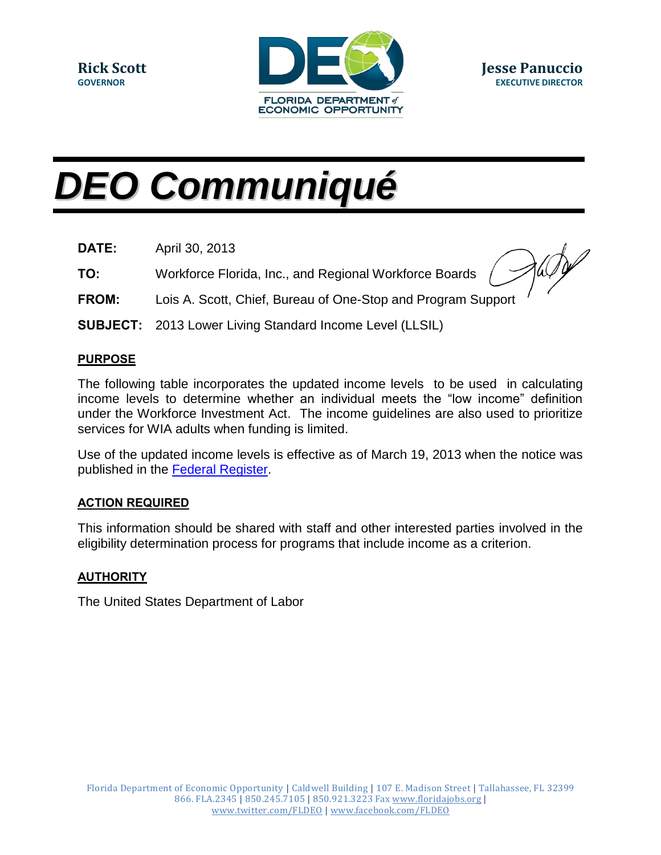

# *DEO Communiqué*

- **DATE:** April 30, 2013
- **TO:** Workforce Florida, Inc., and Regional Workforce Boards

- **FROM:** Lois A. Scott, Chief, Bureau of One-Stop and Program Support
- **SUBJECT:** 2013 Lower Living Standard Income Level (LLSIL)

### **PURPOSE**

The following table incorporates the updated income levels to be used in calculating income levels to determine whether an individual meets the "low income" definition under the Workforce Investment Act. The income guidelines are also used to prioritize services for WIA adults when funding is limited.

Use of the updated income levels is effective as of March 19, 2013 when the notice was published in the **Federal Register**.

## **ACTION REQUIRED**

This information should be shared with staff and other interested parties involved in the eligibility determination process for programs that include income as a criterion.

#### **AUTHORITY**

The United States Department of Labor